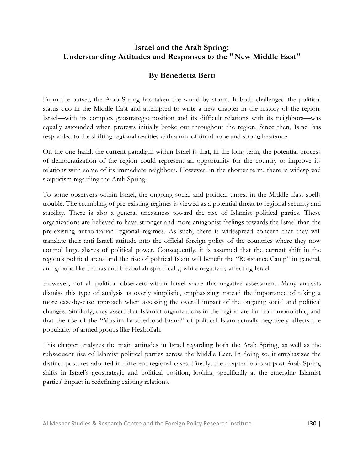## **Israel and the Arab Spring: Understanding Attitudes and Responses to the "New Middle East"**

# **By Benedetta Berti**

From the outset, the Arab Spring has taken the world by storm. It both challenged the political status quo in the Middle East and attempted to write a new chapter in the history of the region. Israel—with its complex geostrategic position and its difficult relations with its neighbors—was equally astounded when protests initially broke out throughout the region. Since then, Israel has responded to the shifting regional realities with a mix of timid hope and strong hesitance.

On the one hand, the current paradigm within Israel is that, in the long term, the potential process of democratization of the region could represent an opportunity for the country to improve its relations with some of its immediate neighbors. However, in the shorter term, there is widespread skepticism regarding the Arab Spring.

To some observers within Israel, the ongoing social and political unrest in the Middle East spells trouble. The crumbling of pre-existing regimes is viewed as a potential threat to regional security and stability. There is also a general uneasiness toward the rise of Islamist political parties. These organizations are believed to have stronger and more antagonist feelings towards the Israel than the pre-existing authoritarian regional regimes. As such, there is widespread concern that they will translate their anti-Israeli attitude into the official foreign policy of the countries where they now control large shares of political power. Consequently, it is assumed that the current shift in the region's political arena and the rise of political Islam will benefit the "Resistance Camp" in general, and groups like Hamas and Hezbollah specifically, while negatively affecting Israel.

However, not all political observers within Israel share this negative assessment. Many analysts dismiss this type of analysis as overly simplistic, emphasizing instead the importance of taking a more case-by-case approach when assessing the overall impact of the ongoing social and political changes. Similarly, they assert that Islamist organizations in the region are far from monolithic, and that the rise of the "Muslim Brotherhood-brand" of political Islam actually negatively affects the popularity of armed groups like Hezbollah.

This chapter analyzes the main attitudes in Israel regarding both the Arab Spring, as well as the subsequent rise of Islamist political parties across the Middle East. In doing so, it emphasizes the distinct postures adopted in different regional cases. Finally, the chapter looks at post-Arab Spring shifts in Israel's geostrategic and political position, looking specifically at the emerging Islamist parties' impact in redefining existing relations.

Al Mesbar Studies & Research Centre and the Foreign Policy Research Institute 130 |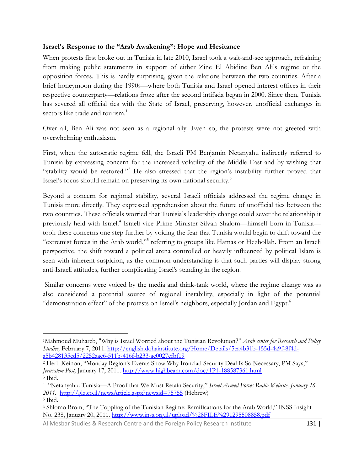#### **Israel's Response to the "Arab Awakening": Hope and Hesitance**

When protests first broke out in Tunisia in late 2010, Israel took a wait-and-see approach, refraining from making public statements in support of either Zine El Abidine Ben Ali's regime or the opposition forces. This is hardly surprising, given the relations between the two countries. After a brief honeymoon during the 1990s—where both Tunisia and Israel opened interest offices in their respective counterparty—relations froze after the second intifada began in 2000. Since then, Tunisia has severed all official ties with the State of Israel, preserving, however, unofficial exchanges in sectors like trade and tourism.<sup>1</sup>

Over all, Ben Ali was not seen as a regional ally. Even so, the protests were not greeted with overwhelming enthusiasm.

First, when the autocratic regime fell, the Israeli PM Benjamin Netanyahu indirectly referred to Tunisia by expressing concern for the increased volatility of the Middle East and by wishing that "stability would be restored."<sup>2</sup> He also stressed that the region's instability further proved that Israel's focus should remain on preserving its own national security.<sup>3</sup>

Beyond a concern for regional stability, several Israeli officials addressed the regime change in Tunisia more directly. They expressed apprehension about the future of unofficial ties between the two countries. These officials worried that Tunisia's leadership change could sever the relationship it previously held with Israel.<sup>4</sup> Israeli vice Prime Minister Silvan Shalom—himself born in Tunisia took these concerns one step further by voicing the fear that Tunisia would begin to drift toward the "extremist forces in the Arab world,"<sup>5</sup> referring to groups like Hamas or Hezbollah. From an Israeli perspective, the shift toward a political arena controlled or heavily influenced by political Islam is seen with inherent suspicion, as the common understanding is that such parties will display strong anti-Israeli attitudes, further complicating Israel's standing in the region.

Similar concerns were voiced by the media and think-tank world, where the regime change was as also considered a potential source of regional instability, especially in light of the potential "demonstration effect" of the protests on Israel's neighbors, especially Jordan and Egypt.<sup>6</sup>

<sup>1</sup>Mahmoud Muhareb, "Why is Israel Worried about the Tunisian Revolution?" *Arab center for Research and Policy Studies,* February 7, 2011. [http://english.dohainstitute.org/Home/Details/5ea4b31b-155d-4a9f-8f4d](http://english.dohainstitute.org/Home/Details/5ea4b31b-155d-4a9f-8f4d-a5b428135cd5/2252aae6-511b-416f-b233-ae0027efbf19)[a5b428135cd5/2252aae6-511b-416f-b233-ae0027efbf19](http://english.dohainstitute.org/Home/Details/5ea4b31b-155d-4a9f-8f4d-a5b428135cd5/2252aae6-511b-416f-b233-ae0027efbf19)

<sup>2</sup> Herb Keinon, "Monday Region's Events Show Why Ironclad Security Deal Is So Necessary, PM Says," *Jerusalem Post,* January 17, 2011.<http://www.highbeam.com/doc/1P1-188587361.html> <sup>3</sup> Ibid.

<sup>4</sup> "Netanyahu: Tunisia—A Proof that We Must Retain Security," *Israel Armed Forces Radio Website, January 16, 2011.* <http://glz.co.il/newsArticle.aspx?newsid=75755> (Hebrew)

<sup>5</sup> Ibid.

<sup>6</sup> Shlomo Brom, "The Toppling of the Tunisian Regime: Ramifications for the Arab World," INSS Insight No. 238, January 20, 2011[. http://www.inss.org.il/upload/%28FILE%291295508858.pdf](http://www.inss.org.il/upload/%28FILE%291295508858.pdf)

Al Mesbar Studies & Research Centre and the Foreign Policy Research Institute 131 |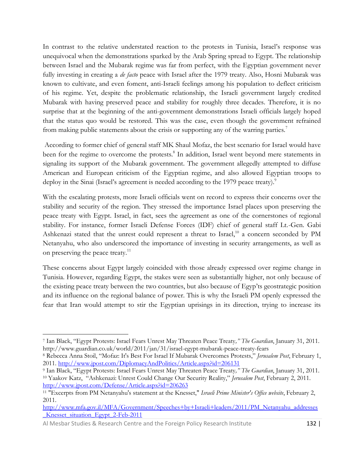In contrast to the relative understated reaction to the protests in Tunisia, Israel's response was unequivocal when the demonstrations sparked by the Arab Spring spread to Egypt. The relationship between Israel and the Mubarak regime was far from perfect, with the Egyptian government never fully investing in creating a *de facto* peace with Israel after the 1979 treaty. Also, Hosni Mubarak was known to cultivate, and even foment, anti-Israeli feelings among his population to deflect criticism of his regime. Yet, despite the problematic relationship, the Israeli government largely credited Mubarak with having preserved peace and stability for roughly three decades. Therefore, it is no surprise that at the beginning of the anti-government demonstrations Israeli officials largely hoped that the status quo would be restored. This was the case, even though the government refrained from making public statements about the crisis or supporting any of the warring parties.<sup>7</sup>

According to former chief of general staff MK Shaul Mofaz, the best scenario for Israel would have been for the regime to overcome the protests.<sup>8</sup> In addition, Israel went beyond mere statements in signaling its support of the Mubarak government. The government allegedly attempted to diffuse American and European criticism of the Egyptian regime, and also allowed Egyptian troops to deploy in the Sinai (Israel's agreement is needed according to the 1979 peace treaty).<sup>9</sup>

With the escalating protests, more Israeli officials went on record to express their concerns over the stability and security of the region. They stressed the importance Israel places upon preserving the peace treaty with Egypt. Israel, in fact, sees the agreement as one of the cornerstones of regional stability. For instance, former Israeli Defense Forces (IDF) chief of general staff Lt.-Gen. Gabi Ashkenazi stated that the unrest could represent a threat to Israel,<sup>10</sup> a concern seconded by PM Netanyahu, who also underscored the importance of investing in security arrangements, as well as on preserving the peace treaty.<sup>11</sup>

These concerns about Egypt largely coincided with those already expressed over regime change in Tunisia. However, regarding Egypt, the stakes were seen as substantially higher, not only because of the existing peace treaty between the two countries, but also because of Egyp'ts geostrategic position and its influence on the regional balance of power. This is why the Israeli PM openly expressed the fear that Iran would attempt to stir the Egyptian uprisings in its direction, trying to increase its

 $\overline{\phantom{a}}$ <sup>7</sup> Ian Black, "Egypt Protests: Israel Fears Unrest May Threaten Peace Treaty*," The Guardian*, January 31, 2011. http://www.guardian.co.uk/world/2011/jan/31/israel-egypt-mubarak-peace-treaty-fears

<sup>8</sup> Rebecca Anna Stoil, "Mofaz: It's Best For Israel If Mubarak Overcomes Protests," *Jerusalem Post*, February 1, 2011.<http://www.jpost.com/DiplomacyAndPolitics/Article.aspx?id=206131>

<sup>9</sup> Ian Black, "Egypt Protests: Israel Fears Unrest May Threaten Peace Treaty*," The Guardian*, January 31, 2011. <sup>10</sup> Yaakov Katz, "Ashkenazi: Unrest Could Change Our Security Reality," *Jerusalem Post*, February 2, 2011. <http://www.jpost.com/Defense/Article.aspx?id=206263>

<sup>11</sup> "Excerpts from PM Netanyahu's statement at the Knesset," *Israeli Prime Minister's Office website*, February 2, 2011.

[http://www.mfa.gov.il/MFA/Government/Speeches+by+Israeli+leaders/2011/PM\\_Netanyahu\\_addresses](http://www.mfa.gov.il/MFA/Government/Speeches+by+Israeli+leaders/2011/PM_Netanyahu_addresses_Knesset_situation_Egypt_2-Feb-2011) [\\_Knesset\\_situation\\_Egypt\\_2-Feb-2011](http://www.mfa.gov.il/MFA/Government/Speeches+by+Israeli+leaders/2011/PM_Netanyahu_addresses_Knesset_situation_Egypt_2-Feb-2011)

Al Mesbar Studies & Research Centre and the Foreign Policy Research Institute 132 |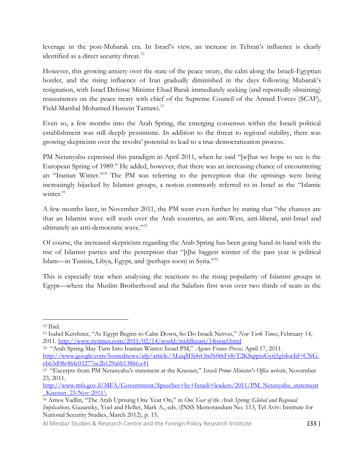leverage in the post-Mubarak era. In Israel's view, an increase in Tehran's influence is clearly identified as a direct security threat.<sup>12</sup>

However, this growing anxiety over the state of the peace treaty, the calm along the Israeli-Egyptian border, and the rising influence of Iran gradually diminished in the days following Mubarak's resignation, with Israel Defense Minister Ehud Barak immediately seeking (and reportedly obtaining) reassurances on the peace treaty with chief of the Supreme Council of the Armed Forces (SCAF), Field Marshal Mohamed Hussein Tantawi.<sup>13</sup>

Even so, a few months into the Arab Spring, the emerging consensus within the Israeli political establishment was still deeply pessimistic. In addition to the threat to regional stability, there was growing skepticism over the revolts' potential to lead to a true democratization process.

PM Netanyahu expressed this paradigm in April 2011, when he said "[w]hat we hope to see is the European Spring of 1989." He added, however, that there was an increasing chance of encountering an "Iranian Winter."<sup>14</sup> The PM was referring to the perception that the uprisings were being increasingly hijacked by Islamist groups, a notion commonly referred to in Israel as the "Islamic winter."

A few months later, in November 2011, the PM went even further by stating that "the chances are that an Islamist wave will wash over the Arab countries, an anti-West, anti-liberal, anti-Israel and ultimately an anti-democratic wave."<sup>15</sup>

Of course, the increased skepticism regarding the Arab Spring has been going hand-in-hand with the rise of Islamist parties and the perception that "[t]he biggest winner of the past year is political Islam—in Tunisia, Libya, Egypt, and (perhaps soon) in Syria."<sup>16</sup>

This is especially true when analyzing the reactions to the rising popularity of Islamist groups in Egypt—where the Muslim Brotherhood and the Salafists first won over two thirds of seats in the

 $\overline{\phantom{a}}$ <sup>12</sup> Ibid.

<sup>13</sup> Isabel Kershner, "As Egypt Begins to Calm Down, So Do Israeli Nerves," *New York Times*, February 14, 2011.<http://www.nytimes.com/2011/02/14/world/middleeast/14israel.html>

<sup>14</sup> "Arab Spring May Turn Into Iranian Winter: Israel PM," *Agence France Presse,* April 17, 2011. [http://www.google.com/hostednews/afp/article/ALeqM5j4sOmN0rkFs8yT2KSqtpiuGyrj5g?docId=CNG.](http://www.google.com/hostednews/afp/article/ALeqM5j4sOmN0rkFs8yT2KSqtpiuGyrj5g?docId=CNG.eb63d08c46fc03277ee2b129a6b13866.c41) [eb63d08c46fc03277ee2b129a6b13866.c41](http://www.google.com/hostednews/afp/article/ALeqM5j4sOmN0rkFs8yT2KSqtpiuGyrj5g?docId=CNG.eb63d08c46fc03277ee2b129a6b13866.c41)

<sup>&</sup>lt;sup>15</sup> "Excerpts from PM Netanyahu's statement at the Knesset," Israeli Prime Minister's Office website, November 23, 2011.

[http://www.mfa.gov.il/MFA/Government/Speeches+by+Israeli+leaders/2011/PM\\_Netanyahu\\_statement](http://www.mfa.gov.il/MFA/Government/Speeches+by+Israeli+leaders/2011/PM_Netanyahu_statement_Knesset_23-Nov-2011/)  $Knesset_23-Nov-2011\$ 

<sup>16</sup> Amos Yadlin, "The Arab Uprising One Year On," in *One Year of the Arab Spring: Global and Regional Implications,* Guzansky, Yoel and Heller, Mark A., eds. (INSS Memorandum No. 113, Tel Aviv: Institute for National Security Studies, March 2012), p. 15.

Al Mesbar Studies & Research Centre and the Foreign Policy Research Institute 133 |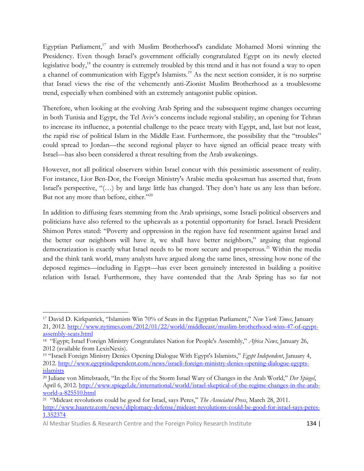Egyptian Parliament,<sup>17</sup> and with Muslim Brotherhood's candidate Mohamed Morsi winning the Presidency. Even though Israel's government officially congratulated Egypt on its newly elected legislative body,<sup>18</sup> the country is extremely troubled by this trend and it has not found a way to open a channel of communication with Egypt's Islamists.<sup>19</sup> As the next section consider, it is no surprise that Israel views the rise of the vehemently anti-Zionist Muslim Brotherhood as a troublesome trend, especially when combined with an extremely antagonist public opinion.

Therefore, when looking at the evolving Arab Spring and the subsequent regime changes occurring in both Tunisia and Egypt, the Tel Aviv's concerns include regional stability, an opening for Tehran to increase its influence, a potential challenge to the peace treaty with Egypt, and, last but not least, the rapid rise of political Islam in the Middle East. Furthermore, the possibility that the "troubles" could spread to Jordan—the second regional player to have signed an official peace treaty with Israel—has also been considered a threat resulting from the Arab awakenings.

However, not all political observers within Israel concur with this pessimistic assessment of reality. For instance, Lior Ben-Dor, the Foreign Ministry's Arabic media spokesman has asserted that, from Israel's perspective, "(…) by and large little has changed. They don't hate us any less than before. But not any more than before, either."<sup>20</sup>

In addition to diffusing fears stemming from the Arab uprisings, some Israeli political observers and politicians have also referred to the upheavals as a potential opportunity for Israel. Israeli President Shimon Peres stated: "Poverty and oppression in the region have fed resentment against Israel and the better our neighbors will have it, we shall have better neighbors," arguing that regional democratization is exactly what Israel needs to be more secure and prosperous.<sup>21</sup> Within the media and the think tank world, many analysts have argued along the same lines, stressing how none of the deposed regimes—including in Egypt—has ever been genuinely interested in building a positive relation with Israel. Furthermore, they have contended that the Arab Spring has so far not

<sup>17</sup> David D. Kirkpatrick, "Islamists Win 70% of Seats in the Egyptian Parliament," *New York Times,* January 21, 2012. [http://www.nytimes.com/2012/01/22/world/middleeast/muslim-brotherhood-wins-47-of-egypt](http://www.nytimes.com/2012/01/22/world/middleeast/muslim-brotherhood-wins-47-of-egypt-assembly-seats.html)[assembly-seats.html](http://www.nytimes.com/2012/01/22/world/middleeast/muslim-brotherhood-wins-47-of-egypt-assembly-seats.html)

<sup>18</sup> "Egypt; Israel Foreign Ministry Congratulates Nation for People's Assembly," *Africa News*, January 26, 2012 (available from LexisNexis).

<sup>19</sup> "Israeli Foreign Ministry Denies Opening Dialogue With Egypt's Islamists," *Egypt Independent*, January 4, 2012. [http://www.egyptindependent.com/news/israeli-foreign-ministry-denies-opening-dialogue-egypts](http://www.egyptindependent.com/news/israeli-foreign-ministry-denies-opening-dialogue-egypts-islamists)[islamists](http://www.egyptindependent.com/news/israeli-foreign-ministry-denies-opening-dialogue-egypts-islamists)

<sup>20</sup> Juliane von Mittelstaedt, "In the Eye of the Storm Israel Wary of Changes in the Arab World," *Der Spiegel*, April 6, 2012[. http://www.spiegel.de/international/world/israel-skeptical-of-the-regime-changes-in-the-arab](http://www.spiegel.de/international/world/israel-skeptical-of-the-regime-changes-in-the-arab-world-a-825510.html)[world-a-825510.html](http://www.spiegel.de/international/world/israel-skeptical-of-the-regime-changes-in-the-arab-world-a-825510.html)

<sup>21</sup> "Mideast revolutions could be good for Israel, says Peres," *The Associated Press*, March 28, 2011. [http://www.haaretz.com/news/diplomacy-defense/mideast-revolutions-could-be-good-for-israel-says-peres-](http://www.haaretz.com/news/diplomacy-defense/mideast-revolutions-could-be-good-for-israel-says-peres-1.352374)[1.352374](http://www.haaretz.com/news/diplomacy-defense/mideast-revolutions-could-be-good-for-israel-says-peres-1.352374)

Al Mesbar Studies & Research Centre and the Foreign Policy Research Institute 134 |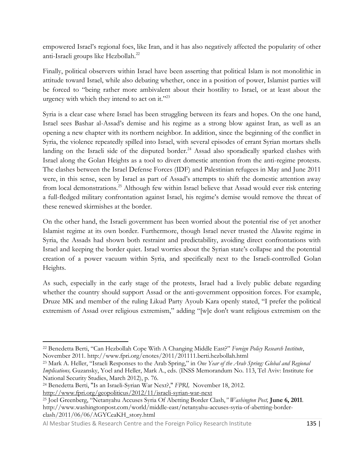empowered Israel's regional foes, like Iran, and it has also negatively affected the popularity of other anti-Israeli groups like Hezbollah.<sup>22</sup>

Finally, political observers within Israel have been asserting that political Islam is not monolithic in attitude toward Israel, while also debating whether, once in a position of power, Islamist parties will be forced to "being rather more ambivalent about their hostility to Israel, or at least about the urgency with which they intend to act on it."<sup>23</sup>

Syria is a clear case where Israel has been struggling between its fears and hopes. On the one hand, Israel sees Bashar al-Assad's demise and his regime as a strong blow against Iran, as well as an opening a new chapter with its northern neighbor. In addition, since the beginning of the conflict in Syria, the violence repeatedly spilled into Israel, with several episodes of errant Syrian mortars shells landing on the Israeli side of the disputed border.<sup>24</sup> Assad also sporadically sparked clashes with Israel along the Golan Heights as a tool to divert domestic attention from the anti-regime protests. The clashes between the Israel Defense Forces (IDF) and Palestinian refugees in May and June 2011 were, in this sense, seen by Israel as part of Assad's attempts to shift the domestic attention away from local demonstrations.<sup>25</sup> Although few within Israel believe that Assad would ever risk entering a full-fledged military confrontation against Israel, his regime's demise would remove the threat of these renewed skirmishes at the border.

On the other hand, the Israeli government has been worried about the potential rise of yet another Islamist regime at its own border. Furthermore, though Israel never trusted the Alawite regime in Syria, the Assads had shown both restraint and predictability, avoiding direct confrontations with Israel and keeping the border quiet. Israel worries about the Syrian state's collapse and the potential creation of a power vacuum within Syria, and specifically next to the Israeli-controlled Golan Heights.

As such, especially in the early stage of the protests, Israel had a lively public debate regarding whether the country should support Assad or the anti-government opposition forces. For example, Druze MK and member of the ruling Likud Party Ayoub Kara openly stated, "I prefer the political extremism of Assad over religious extremism," adding "[w]e don't want religious extremism on the

<sup>22</sup> Benedetta Berti, "Can Hezbollah Cope With A Changing Middle East?" *Foreign Policy Research Institute*, November 2011. http://www.fpri.org/enotes/2011/201111.berti.hezbollah.html

<sup>23</sup> Mark A. Heller, "Israeli Responses to the Arab Spring," in *One Year of the Arab Spring: Global and Regional Implications,* Guzansky, Yoel and Heller, Mark A., eds. (INSS Memorandum No. 113, Tel Aviv: Institute for National Security Studies, March 2012), p. 76.

<sup>24</sup> Benedetta Berti, "Is an Israeli-Syrian War Next?," *FPRI,* November 18, 2012.

http://www.fpri.org/geopoliticus/2012/11/israeli-syrian-war-next

<sup>25</sup> Joel Greenberg, "Netanyahu Accuses Syria Of Abetting Border Clash,*" Washington Post,* **June 6, 2011**. http://www.washingtonpost.com/world/middle-east/netanyahu-accuses-syria-of-abetting-borderclash/2011/06/06/AGYCeaKH\_story.html

Al Mesbar Studies & Research Centre and the Foreign Policy Research Institute 135 | 135 |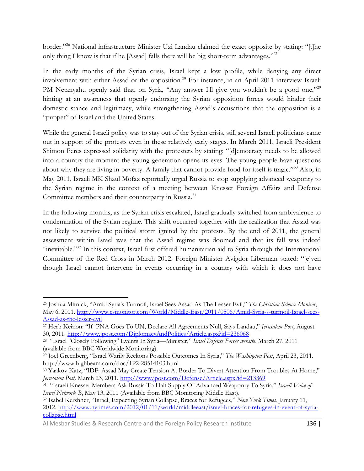border."<sup>26</sup> National infrastructure Minister Uzi Landau claimed the exact opposite by stating: "[t]he only thing I know is that if he [Assad] falls there will be big short-term advantages."<sup>27</sup>

In the early months of the Syrian crisis, Israel kept a low profile, while denying any direct involvement with either Assad or the opposition.<sup>28</sup> For instance, in an April 2011 interview Israeli PM Netanyahu openly said that, on Syria, "Any answer I'll give you wouldn't be a good one,"<sup>29</sup> hinting at an awareness that openly endorsing the Syrian opposition forces would hinder their domestic stance and legitimacy, while strengthening Assad's accusations that the opposition is a "puppet" of Israel and the United States.

While the general Israeli policy was to stay out of the Syrian crisis, still several Israeli politicians came out in support of the protests even in these relatively early stages. In March 2011, Israeli President Shimon Peres expressed solidarity with the protesters by stating: "[d]emocracy needs to be allowed into a country the moment the young generation opens its eyes. The young people have questions about why they are living in poverty. A family that cannot provide food for itself is tragic."<sup>30</sup> Also, in May 2011, Israeli MK Shaul Mofaz reportedly urged Russia to stop supplying advanced weaponry to the Syrian regime in the context of a meeting between Knesset Foreign Affairs and Defense Committee members and their counterparty in Russia.<sup>31</sup>

In the following months, as the Syrian crisis escalated, Israel gradually switched from ambivalence to condemnation of the Syrian regime. This shift occurred together with the realization that Assad was not likely to survive the political storm ignited by the protests. By the end of 2011, the general assessment within Israel was that the Assad regime was doomed and that its fall was indeed "inevitable."<sup>32</sup> In this context, Israel first offered humanitarian aid to Syria through the International Committee of the Red Cross in March 2012. Foreign Minister Avigdor Liberman stated: "[e]ven though Israel cannot intervene in events occurring in a country with which it does not have

<sup>26</sup> Joshua Mitnick, "Amid Syria's Turmoil, Israel Sees Assad As The Lesser Evil," *The Christian Science Monitor*, May 6, 2011. [http://www.csmonitor.com/World/Middle-East/2011/0506/Amid-Syria-s-turmoil-Israel-sees-](http://www.csmonitor.com/World/Middle-East/2011/0506/Amid-Syria-s-turmoil-Israel-sees-Assad-as-the-lesser-evil)[Assad-as-the-lesser-evil](http://www.csmonitor.com/World/Middle-East/2011/0506/Amid-Syria-s-turmoil-Israel-sees-Assad-as-the-lesser-evil)

<sup>27</sup> Herb Keinon: "If PNA Goes To UN, Declare All Agreements Null, Says Landau," *Jerusalem Post*, August 30, 2011.<http://www.jpost.com/DiplomacyAndPolitics/Article.aspx?id=236068>

<sup>28</sup> "Israel "Closely Following" Events In Syria—Minister," *Israel Defense Forces website*, March 27, 2011 (available from BBC Worldwide Monitoring).

<sup>29</sup> Joel Greenberg, "Israel Warily Reckons Possible Outcomes In Syria," *The Washington Post*, April 23, 2011. http://www.highbeam.com/doc/1P2-28514103.html

<sup>30</sup> Yaakov Katz, "IDF: Assad May Create Tension At Border To Divert Attention From Troubles At Home," *Jerusalem Post,* March 23, 2011.<http://www.jpost.com/Defense/Article.aspx?id=213369>

<sup>31</sup> "Israeli Knesset Members Ask Russia To Halt Supply Of Advanced Weaponry To Syria," *Israeli Voice of Israel Network B*, May 13, 2011 (Available from BBC Monitoring Middle East).

<sup>32</sup> Isabel Kershner, "Israel, Expecting Syrian Collapse, Braces for Refugees," *New York Times*, January 11, 2012. [http://www.nytimes.com/2012/01/11/world/middleeast/israel-braces-for-refugees-in-event-of-syria](http://www.nytimes.com/2012/01/11/world/middleeast/israel-braces-for-refugees-in-event-of-syria-collapse.html)[collapse.html](http://www.nytimes.com/2012/01/11/world/middleeast/israel-braces-for-refugees-in-event-of-syria-collapse.html)

Al Mesbar Studies & Research Centre and the Foreign Policy Research Institute 136 |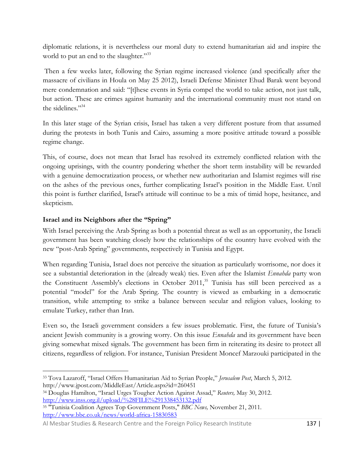diplomatic relations, it is nevertheless our moral duty to extend humanitarian aid and inspire the world to put an end to the slaughter."<sup>33</sup>

Then a few weeks later, following the Syrian regime increased violence (and specifically after the massacre of civilians in Houla on May 25 2012), Israeli Defense Minister Ehud Barak went beyond mere condemnation and said: "[t]hese events in Syria compel the world to take action, not just talk, but action. These are crimes against humanity and the international community must not stand on the sidelines."<sup>34</sup>

In this later stage of the Syrian crisis, Israel has taken a very different posture from that assumed during the protests in both Tunis and Cairo, assuming a more positive attitude toward a possible regime change.

This, of course, does not mean that Israel has resolved its extremely conflicted relation with the ongoing uprisings, with the country pondering whether the short term instability will be rewarded with a genuine democratization process, or whether new authoritarian and Islamist regimes will rise on the ashes of the previous ones, further complicating Israel's position in the Middle East. Until this point is further clarified, Israel's attitude will continue to be a mix of timid hope, hesitance, and skepticism.

### **Israel and its Neighbors after the "Spring"**

With Israel perceiving the Arab Spring as both a potential threat as well as an opportunity, the Israeli government has been watching closely how the relationships of the country have evolved with the new "post-Arab Spring" governments, respectively in Tunisia and Egypt.

When regarding Tunisia, Israel does not perceive the situation as particularly worrisome, nor does it see a substantial deterioration in the (already weak) ties. Even after the Islamist *Ennahda* party won the Constituent Assembly's elections in October 2011,<sup>35</sup> Tunisia has still been perceived as a potential "model" for the Arab Spring. The country is viewed as embarking in a democratic transition, while attempting to strike a balance between secular and religion values, looking to emulate Turkey, rather than Iran.

Even so, the Israeli government considers a few issues problematic. First, the future of Tunisia's ancient Jewish community is a growing worry. On this issue *Ennahda* and its government have been giving somewhat mixed signals. The government has been firm in reiterating its desire to protect all citizens, regardless of religion. For instance, Tunisian President Moncef Marzouki participated in the

 $\overline{\phantom{a}}$ <sup>33</sup> Tova Lazaroff, "Israel Offers Humanitarian Aid to Syrian People," *Jerusalem Post*, March 5, 2012. http://www.jpost.com/MiddleEast/Article.aspx?id=260451

<sup>34</sup> Douglas Hamilton, "Israel Urges Tougher Action Against Assad," *Reuters,* May 30, 2012. <http://www.inss.org.il/upload/%28FILE%291338453132.pdf>

<sup>35</sup> "Tunisia Coalition Agrees Top Government Posts," *BBC News,* November 21, 2011. <http://www.bbc.co.uk/news/world-africa-15830583>

Al Mesbar Studies & Research Centre and the Foreign Policy Research Institute 137 |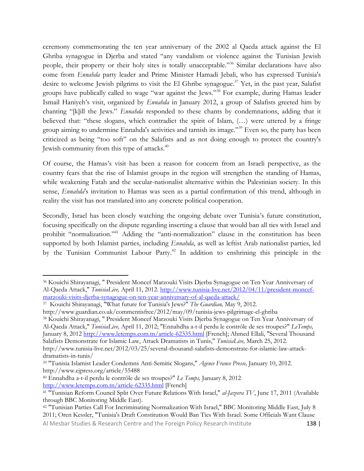ceremony commemorating the ten year anniversary of the 2002 al Qaeda attack against the El Ghriba synagogue in Djerba and stated "any vandalism or violence against the Tunisian Jewish people, their property or their holy sites is totally unacceptable."<sup>36</sup> Similar declarations have also come from *Ennahda* party leader and Prime Minister Hamadi Jebali, who has expressed Tunisia's desire to welcome Jewish pilgrims to visit the El Ghribe synagogue.<sup>37</sup> Yet, in the past year, Salafist groups have publically called to wage "war against the Jews."<sup>38</sup> For example, during Hamas leader Ismail Haniyeh's visit, organized by *Ennahda* in January 2012, a group of Salafists greeted him by chanting "[k]ill the Jews." *Ennahda* responded to these chants by condemnations, adding that it believed that: "these slogans, which contradict the spirit of Islam, (…) were uttered by a fringe group aiming to undermine Ennahda's activities and tarnish its image."<sup>39</sup> Even so, the party has been criticized as being "too soft" on the Salafists and as not doing enough to protect the country's Jewish community from this type of attacks.<sup>40</sup>

Of course, the Hamas's visit has been a reason for concern from an Israeli perspective, as the country fears that the rise of Islamist groups in the region will strengthen the standing of Hamas, while weakening Fatah and the secular-nationalist alternative within the Palestinian society. In this sense, *Ennahda*'s invitation to Hamas was seen as a partial confirmation of this trend, although in reality the visit has not translated into any concrete political cooperation.

Secondly, Israel has been closely watching the ongoing debate over Tunisia's future constitution, focusing specifically on the dispute regarding inserting a clause that would ban all ties with Israel and prohibit "normalization."<sup>41</sup> Adding the "anti-normalization" clause in the constitution has been supported by both Islamist parties, including *Ennahda*, as well as leftist Arab nationalist parties, led by the Tunisian Communist Labour Party.<sup>42</sup> In addition to enshrining this principle in the

 $\overline{\phantom{a}}$ 

Al Mesbar Studies & Research Centre and the Foreign Policy Research Institute 138 |

<sup>36</sup> Kouichi Shirayanagi, " President Moncef Marzouki Visits Djerba Synagogue on Ten Year Anniversary of Al-Qaeda Attack," *TunisiaLive,* April 11, 2012. [http://www.tunisia-live.net/2012/04/11/president-moncef](http://www.tunisia-live.net/2012/04/11/president-moncef-marzouki-visits-djerba-synagogue-on-ten-year-anniversary-of-al-qaeda-attack/)[marzouki-visits-djerba-synagogue-on-ten-year-anniversary-of-al-qaeda-attack/](http://www.tunisia-live.net/2012/04/11/president-moncef-marzouki-visits-djerba-synagogue-on-ten-year-anniversary-of-al-qaeda-attack/)

<sup>37</sup> Kouichi Shirayanagi, "What future for Tunisia's Jews?" *The Guardian,* May 9, 2012.

http://www.guardian.co.uk/commentisfree/2012/may/09/tunisia-jews-pilgrimage-el-ghriba

<sup>38</sup> Kouichi Shirayanagi, " President Moncef Marzouki Visits Djerba Synagogue on Ten Year Anniversary of Al-Qaeda Attack," *TunisiaLive,* April 11, 2012; "Ennahdha a-t-il perdu le contrôle de ses troupes?" *LeTemps,*  January 8, 2012<http://www.letemps.com.tn/article-62335.html> [French]; Ahmed Ellali, "Several Thousand Salafists Demonstrate for Islamic Law, Attack Dramatists in Tunis," *TunisiaLive,* March 25, 2012. http://www.tunisia-live.net/2012/03/25/several-thousand-salafists-demonstrate-for-islamic-law-attack-

dramatists-in-tunis/

<sup>39</sup> "Tunisia Islamist Leader Condemns Anti-Semitic Slogans," *Agence France Presse,* January 10, 2012. http://www.ejpress.org/article/55488

<sup>40</sup> Ennahdha a-t-il perdu le contrôle de ses troupes?" *Le Temps,* January 8, 2012 <http://www.letemps.com.tn/article-62335.html> [French]

<sup>41</sup> "Tunisian Reform Council Split Over Future Relations With Israel," *al-Jazeera TV*, June 17, 2011 (Available through BBC Monitoring Middle East).

<sup>42</sup> "Tunisian Parties Call For Incriminating Normalization With Israel," BBC Monitoring Middle East, July 8 2011; Oren Kessler, "Tunisia's Draft Constitution Would Ban Ties With Israel. Some Officials Want Clause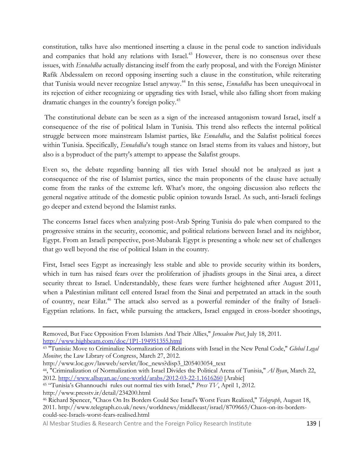constitution, talks have also mentioned inserting a clause in the penal code to sanction individuals and companies that hold any relations with Israel.<sup>43</sup> However, there is no consensus over these issues, with *Ennahdha* actually distancing itself from the early proposal, and with the Foreign Minister Rafik Abdessalem on record opposing inserting such a clause in the constitution, while reiterating that Tunisia would never recognize Israel anyway.<sup>44</sup> In this sense, *Ennahdha* has been unequivocal in its rejection of either recognizing or upgrading ties with Israel, while also falling short from making dramatic changes in the country's foreign policy.<sup>45</sup>

The constitutional debate can be seen as a sign of the increased antagonism toward Israel, itself a consequence of the rise of political Islam in Tunisia. This trend also reflects the internal political struggle between more mainstream Islamist parties, like *Ennahdha*, and the Salafist political forces within Tunisia. Specifically, *Ennahdha*'s tough stance on Israel stems from its values and history, but also is a byproduct of the party's attempt to appease the Salafist groups.

Even so, the debate regarding banning all ties with Israel should not be analyzed as just a consequence of the rise of Islamist parties, since the main proponents of the clause have actually come from the ranks of the extreme left. What's more, the ongoing discussion also reflects the general negative attitude of the domestic public opinion towards Israel. As such, anti-Israeli feelings go deeper and extend beyond the Islamist ranks.

The concerns Israel faces when analyzing post-Arab Spring Tunisia do pale when compared to the progressive strains in the security, economic, and political relations between Israel and its neighbor, Egypt. From an Israeli perspective, post-Mubarak Egypt is presenting a whole new set of challenges that go well beyond the rise of political Islam in the country.

First, Israel sees Egypt as increasingly less stable and able to provide security within its borders, which in turn has raised fears over the proliferation of jihadists groups in the Sinai area, a direct security threat to Israel. Understandably, these fears were further heightened after August 2011, when a Palestinian militant cell entered Israel from the Sinai and perpetrated an attack in the south of country, near Eilat.<sup>46</sup> The attack also served as a powerful reminder of the frailty of Israeli-Egyptian relations. In fact, while pursuing the attackers, Israel engaged in cross-border shootings,

 $\overline{\phantom{a}}$ 

Al Mesbar Studies & Research Centre and the Foreign Policy Research Institute 139 | 139 |

Removed, But Face Opposition From Islamists And Their Allies," *Jerusalem Post*, July 18, 2011. <http://www.highbeam.com/doc/1P1-194951355.html>

<sup>43</sup> "Tunisia: Move to Criminalize Normalization of Relations with Israel in the New Penal Code," *Global Legal Monitor,* the Law Library of Congress, March 27, 2012.

http://www.loc.gov/lawweb/servlet/lloc\_news?disp3\_l205403054\_text

<sup>44</sup>, "Criminalization of Normalization with Israel Divides the Political Arena of Tunisia," *Al Byan*, March 22, 2012.<http://www.albayan.ae/one-world/arabs/2012-03-22-1.1616260> [Arabic]

<sup>45</sup> "Tunisia's Ghannouchi rules out normal ties with Israel," *Press TV*, April 1, 2012.

http://www.presstv.ir/detail/234200.html

<sup>46</sup> Richard Spencer, "Chaos On Its Borders Could See Israel's Worst Fears Realized," *Telegraph*, August 18, 2011. http://www.telegraph.co.uk/news/worldnews/middleeast/israel/8709665/Chaos-on-its-borderscould-see-Israels-worst-fears-realised.html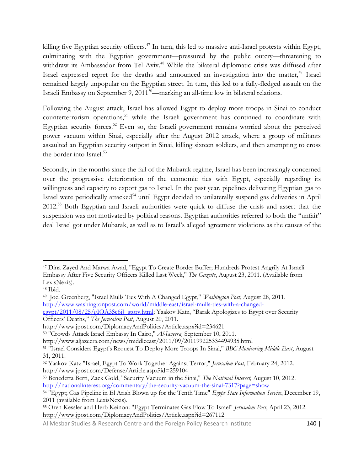killing five Egyptian security officers.<sup>47</sup> In turn, this led to massive anti-Israel protests within Egypt, culminating with the Egyptian government—pressured by the public outcry—threatening to withdraw its Ambassador from Tel Aviv.<sup>48</sup> While the bilateral diplomatic crisis was diffused after Israel expressed regret for the deaths and announced an investigation into the matter,<sup>49</sup> Israel remained largely unpopular on the Egyptian street. In turn, this led to a fully-fledged assault on the Israeli Embassy on September 9,  $2011^{50}$ —marking an all-time low in bilateral relations.

Following the August attack, Israel has allowed Egypt to deploy more troops in Sinai to conduct counterterrorism operations,<sup>51</sup> while the Israeli government has continued to coordinate with Egyptian security forces.<sup>52</sup> Even so, the Israeli government remains worried about the perceived power vacuum within Sinai, especially after the August 2012 attack, where a group of militants assaulted an Egyptian security outpost in Sinai, killing sixteen soldiers, and then attempting to cross the border into Israel.<sup>53</sup>

Secondly, in the months since the fall of the Mubarak regime, Israel has been increasingly concerned over the progressive deterioration of the economic ties with Egypt, especially regarding its willingness and capacity to export gas to Israel. In the past year, pipelines delivering Egyptian gas to Israel were periodically attacked<sup>54</sup> until Egypt decided to unilaterally suspend gas deliveries in April 2012.<sup>55</sup> Both Egyptian and Israeli authorities were quick to diffuse the crisis and assert that the suspension was not motivated by political reasons. Egyptian authorities referred to both the "unfair" deal Israel got under Mubarak, as well as to Israel's alleged agreement violations as the causes of the

 $\overline{\phantom{a}}$ <sup>47</sup> Dina Zayed And Marwa Awad, "Egypt To Create Border Buffer; Hundreds Protest Angrily At Israeli Embassy After Five Security Officers Killed Last Week," *The Gazette*, August 23, 2011. (Available from LexisNexis).

<sup>48</sup> Ibid.

<sup>49</sup> Joel Greenberg, "Israel Mulls Ties With A Changed Egypt," *Washington Post*, August 28, 2011. [http://www.washingtonpost.com/world/middle-east/israel-mulls-ties-with-a-changed](http://www.washingtonpost.com/world/middle-east/israel-mulls-ties-with-a-changed-egypt/2011/08/25/gIQA3Sc6iJ_story.html)[egypt/2011/08/25/gIQA3Sc6iJ\\_story.html](http://www.washingtonpost.com/world/middle-east/israel-mulls-ties-with-a-changed-egypt/2011/08/25/gIQA3Sc6iJ_story.html); Yaakov Katz, "Barak Apologizes to Egypt over Security

Officers' Deaths," *The Jerusalem Post*, August 20, 2011.

http://www.jpost.com/DiplomacyAndPolitics/Article.aspx?id=234621

<sup>50</sup> "Crowds Attack Israel Embassy In Cairo," *Al-Jazeera,* September 10, 2011.

http://www.aljazeera.com/news/middleeast/2011/09/201199225334494935.html

<sup>51</sup> "Israel Considers Egypt's Request To Deploy More Troops In Sinai," *BBC Monitoring Middle East*, August 31, 2011.

<sup>52</sup> Yaakov Katz "Israel, Egypt To Work Together Against Terror," *Jerusalem Post*, February 24, 2012. http://www.jpost.com/Defense/Article.aspx?id=259104

<sup>53</sup> Benedetta Berti, Zack Gold, "Security Vacuum in the Sinai," *The National Interest,* August 10, 2012. <http://nationalinterest.org/commentary/the-security-vacuum-the-sinai-7317?page=show>

<sup>54</sup> "Egypt; Gas Pipeline in El Arish Blown up for the Tenth Time" *Egypt State Information Service*, December 19, 2011 (available from LexisNexis).

<sup>55</sup> Oren Kessler and Herb Keinon: "Egypt Terminates Gas Flow To Israel" *Jerusalem Post*, April 23, 2012. http://www.jpost.com/DiplomacyAndPolitics/Article.aspx?id=267112

Al Mesbar Studies & Research Centre and the Foreign Policy Research Institute 140 |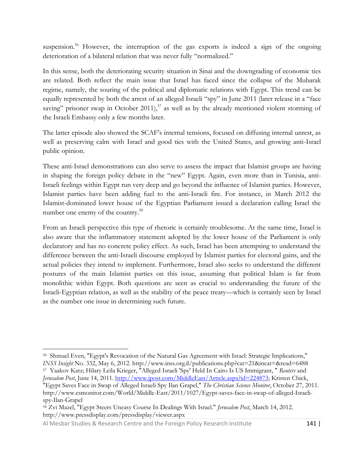suspension.<sup>56</sup> However, the interruption of the gas exports is indeed a sign of the ongoing deterioration of a bilateral relation that was never fully "normalized."

In this sense, both the deteriorating security situation in Sinai and the downgrading of economic ties are related. Both reflect the main issue that Israel has faced since the collapse of the Mubarak regime, namely, the souring of the political and diplomatic relations with Egypt. This trend can be equally represented by both the arrest of an alleged Israeli "spy" in June 2011 (later release in a "face saving" prisoner swap in October 2011),<sup>57</sup> as well as by the already mentioned violent storming of the Israeli Embassy only a few months later.

The latter episode also showed the SCAF's internal tensions, focused on diffusing internal unrest, as well as preserving calm with Israel and good ties with the United States, and growing anti-Israel public opinion.

These anti-Israel demonstrations can also serve to assess the impact that Islamist groups are having in shaping the foreign policy debate in the "new" Egypt. Again, even more than in Tunisia, anti-Israeli feelings within Egypt run very deep and go beyond the influence of Islamist parties. However, Islamist parties have been adding fuel to the anti-Israeli fire. For instance, in March 2012 the Islamist-dominated lower house of the Egyptian Parliament issued a declaration calling Israel the number one enemy of the country.<sup>58</sup>

From an Israeli perspective this type of rhetoric is certainly troublesome. At the same time, Israel is also aware that the inflammatory statement adopted by the lower house of the Parliament is only declaratory and has no concrete policy effect. As such, Israel has been attempting to understand the difference between the anti-Israeli discourse employed by Islamist parties for electoral gains, and the actual policies they intend to implement. Furthermore, Israel also seeks to understand the different postures of the main Islamist parties on this issue, assuming that political Islam is far from monolithic within Egypt. Both questions are seen as crucial to understanding the future of the Israeli-Egyptian relation, as well as the stability of the peace treaty—which is certainly seen by Israel as the number one issue in determining such future.

 $\overline{\phantom{a}}$ 56 Shmuel Even, "Egypt's Revocation of the Natural Gas Agreement with Israel: Strategic Implications," *INSS Insight* No. 332, May 6, 2012. http://www.inss.org.il/publications.php?cat=21&incat=&read=6488

<sup>57</sup> Yaakov Katz; Hilary Leila Krieger, "Alleged Israeli 'Spy' Held In Cairo Is US Immigrant, " *Reuters* and *Jerusalem Post*, June 14, 2011. [http://www.jpost.com/MiddleEast/Article.aspx?id=224873;](http://www.jpost.com/MiddleEast/Article.aspx?id=224873) Kristen Chick,

<sup>&</sup>quot;Egypt Saves Face in Swap of Alleged Israeli Spy Ilan Grapel," *The Christian Science Monitor*, October 27, 2011. http://www.csmonitor.com/World/Middle-East/2011/1027/Egypt-saves-face-in-swap-of-alleged-Israelispy-Ilan-Grapel

<sup>58</sup> Zvi Mazel, "Egypt Steers Uneasy Course In Dealings With Israel." *Jerusalem Post*, March 14, 2012. http://www.pressdisplay.com/pressdisplay/viewer.aspx

Al Mesbar Studies & Research Centre and the Foreign Policy Research Institute 141 |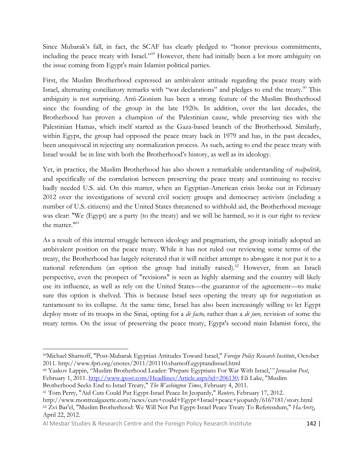Since Mubarak's fall, in fact, the SCAF has clearly pledged to "honor previous commitments, including the peace treaty with Israel."<sup>59</sup> However, there had initially been a lot more ambiguity on the issue coming from Egypt's main Islamist political parties.

First, the Muslim Brotherhood expressed an ambivalent attitude regarding the peace treaty with Israel, alternating conciliatory remarks with "war declarations" and pledges to end the treaty.<sup>60</sup> This ambiguity is not surprising. Anti-Zionism has been a strong feature of the Muslim Brotherhood since the founding of the group in the late 1920s. In addition, over the last decades, the Brotherhood has proven a champion of the Palestinian cause, while preserving ties with the Palestinian Hamas, which itself started as the Gaza-based branch of the Brotherhood. Similarly, within Egypt, the group had opposed the peace treaty back in 1979 and has, in the past decades, been unequivocal in rejecting any normalization process. As such, acting to end the peace treaty with Israel would be in line with both the Brotherhood's history, as well as its ideology.

Yet, in practice, the Muslim Brotherhood has also shown a remarkable understanding of *realpolitik,*  and specifically of the correlation between preserving the peace treaty and continuing to receive badly needed U.S. aid. On this matter, when an Egyptian-American crisis broke out in February 2012 over the investigations of several civil society groups and democracy activists (including a number of U.S. citizens) and the United States threatened to withhold aid, the Brotherhood message was clear: "We (Egypt) are a party (to the treaty) and we will be harmed, so it is our right to review the matter.<sup>"61</sup>

As a result of this internal struggle between ideology and pragmatism, the group initially adopted an ambivalent position on the peace treaty. While it has not ruled out reviewing some terms of the treaty, the Brotherhood has largely reiterated that it will neither attempt to abrogate it nor put it to a national referendum (an option the group had initially raised).<sup>62</sup> However, from an Israeli perspective, even the prospect of "revisions" is seen as highly alarming and the country will likely use its influence, as well as rely on the United States—the guarantor of the agreement—to make sure this option is shelved. This is because Israel sees opening the treaty up for negotiation as tantamount to its collapse. At the same time, Israel has also been increasingly willing to let Egypt deploy more of its troops in the Sinai, opting for a *de facto,* rather than a *de jure,* revision of some the treaty terms. On the issue of preserving the peace treaty, Egypt's second main Islamist force, the

Al Mesbar Studies & Research Centre and the Foreign Policy Research Institute 142 |

 $\overline{\phantom{a}}$ <sup>59</sup>Michael Sharnoff, "Post-Mubarak Egyptian Attitudes Toward Israel," *Foreign Policy Research Institute*, October 2011. http://www.fpri.org/enotes/2011/201110.sharnoff.egyptandisrael.html

<sup>60</sup> Yaakov Lappin, "Muslim Brotherhood Leader: 'Prepare Egyptians For War With Israel,'*" Jerusalem Post*, February 1, 2011. [http://www.jpost.com/Headlines/Article.aspx?id=206130;](http://www.jpost.com/Headlines/Article.aspx?id=206130) Eli Lake, "Muslim Brotherhood Seeks End to Israel Treaty," *The Washington Times*, February 4, 2011.

<sup>61</sup> Tom Perry, "Aid Cuts Could Put Egypt-Israel Peace In Jeopardy," *Reuters,* February 17, 2012.

http://www.montrealgazette.com/news/cuts+could+Egypt+Israel+peace+jeopardy/6167181/story.html <sup>62</sup> Zvi Bar'el, "Muslim Brotherhood: We Will Not Put Egypt-Israel Peace Treaty To Referendum," *HaAretz*, April 22, 2012.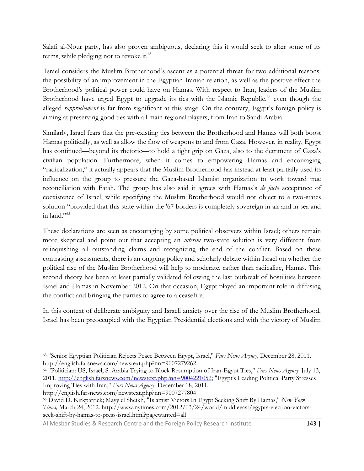Salafi al-Nour party, has also proven ambiguous, declaring this it would seek to alter some of its terms, while pledging not to revoke it.<sup>63</sup>

Israel considers the Muslim Brotherhood's ascent as a potential threat for two additional reasons: the possibility of an improvement in the Egyptian-Iranian relation, as well as the positive effect the Brotherhood's political power could have on Hamas. With respect to Iran, leaders of the Muslim Brotherhood have urged Egypt to upgrade its ties with the Islamic Republic,<sup>64</sup> even though the alleged *rapprochement* is far from significant at this stage. On the contrary, Egypt's foreign policy is aiming at preserving good ties with all main regional players, from Iran to Saudi Arabia.

Similarly, Israel fears that the pre-existing ties between the Brotherhood and Hamas will both boost Hamas politically, as well as allow the flow of weapons to and from Gaza. However, in reality, Egypt has continued—beyond its rhetoric—to hold a tight grip on Gaza, also to the detriment of Gaza's civilian population. Furthermore, when it comes to empowering Hamas and encouraging "radicalization," it actually appears that the Muslim Brotherhood has instead at least partially used its influence on the group to pressure the Gaza-based Islamist organization to work toward true reconciliation with Fatah. The group has also said it agrees with Hamas's *de facto* acceptance of coexistence of Israel, while specifying the Muslim Brotherhood would not object to a two-states solution "provided that this state within the '67 borders is completely sovereign in air and in sea and in land  $\frac{1}{100}$ 

These declarations are seen as encouraging by some political observers within Israel; others remain more skeptical and point out that accepting an *interim* two-state solution is very different from relinquishing all outstanding claims and recognizing the end of the conflict. Based on these contrasting assessments, there is an ongoing policy and scholarly debate within Israel on whether the political rise of the Muslim Brotherhood will help to moderate, rather than radicalize, Hamas. This second theory has been at least partially validated following the last outbreak of hostilities between Israel and Hamas in November 2012. On that occasion, Egypt played an important role in diffusing the conflict and bringing the parties to agree to a ceasefire.

In this context of deliberate ambiguity and Israeli anxiety over the rise of the Muslim Brotherhood, Israel has been preoccupied with the Egyptian Presidential elections and with the victory of Muslim

 $\overline{\phantom{a}}$ 

Al Mesbar Studies & Research Centre and the Foreign Policy Research Institute 143 |

<sup>63</sup> "Senior Egyptian Politician Rejects Peace Between Egypt, Israel," *Fars News Agency,* December 28, 2011. http://english.farsnews.com/newstext.php?nn=9007279262

<sup>64</sup> "Politician: US, Israel, S. Arabia Trying to Block Resumption of Iran-Egypt Ties," *Fars News Agency,* July 13, 2011, [http://english.farsnews.com/newstext.php?nn=9004221052;](http://english.farsnews.com/newstext.php?nn=9004221052) "Egypt's Leading Political Party Stresses Improving Ties with Iran," *Fars News Agency,* December 18, 2011.

http://english.farsnews.com/newstext.php?nn=9007277804

<sup>65</sup> David D. Kirkpatrick; Mayy el Sheikh, "Islamist Victors In Egypt Seeking Shift By Hamas," *New York Times,* March 24, 2012. http://www.nytimes.com/2012/03/24/world/middleeast/egypts-election-victorsseek-shift-by-hamas-to-press-israel.html?pagewanted=all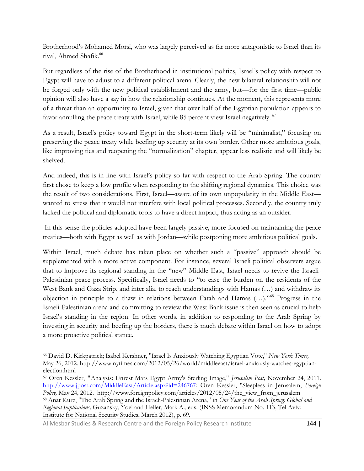Brotherhood's Mohamed Morsi, who was largely perceived as far more antagonistic to Israel than its rival, Ahmed Shafik.<sup>66</sup>

But regardless of the rise of the Brotherhood in institutional politics, Israel's policy with respect to Egypt will have to adjust to a different political arena. Clearly, the new bilateral relationship will not be forged only with the new political establishment and the army, but—for the first time—public opinion will also have a say in how the relationship continues. At the moment, this represents more of a threat than an opportunity to Israel, given that over half of the Egyptian population appears to favor annulling the peace treaty with Israel, while 85 percent view Israel negatively. <sup>67</sup>

As a result, Israel's policy toward Egypt in the short-term likely will be "minimalist," focusing on preserving the peace treaty while beefing up security at its own border. Other more ambitious goals, like improving ties and reopening the "normalization" chapter, appear less realistic and will likely be shelved.

And indeed, this is in line with Israel's policy so far with respect to the Arab Spring. The country first chose to keep a low profile when responding to the shifting regional dynamics. This choice was the result of two considerations. First, Israel—aware of its own unpopularity in the Middle East wanted to stress that it would not interfere with local political processes. Secondly, the country truly lacked the political and diplomatic tools to have a direct impact, thus acting as an outsider.

In this sense the policies adopted have been largely passive, more focused on maintaining the peace treaties—both with Egypt as well as with Jordan—while postponing more ambitious political goals.

Within Israel, much debate has taken place on whether such a "passive" approach should be supplemented with a more active component. For instance, several Israeli political observers argue that to improve its regional standing in the "new" Middle East, Israel needs to revive the Israeli-Palestinian peace process. Specifically, Israel needs to "to ease the burden on the residents of the West Bank and Gaza Strip, and inter alia, to reach understandings with Hamas (…) and withdraw its objection in principle to a thaw in relations between Fatah and Hamas (…)."<sup>68</sup> Progress in the Israeli-Palestinian arena and committing to review the West Bank issue is then seen as crucial to help Israel's standing in the region. In other words, in addition to responding to the Arab Spring by investing in security and beefing up the borders, there is much debate within Israel on how to adopt a more proactive political stance.

Al Mesbar Studies & Research Centre and the Foreign Policy Research Institute 144 |

<sup>66</sup> David D. Kirkpatrick; Isabel Kershner, "Israel Is Anxiously Watching Egyptian Vote," *New York Times,*  May 26, 2012. http://www.nytimes.com/2012/05/26/world/middleeast/israel-anxiously-watches-egyptianelection.html

<sup>67</sup> Oren Kessler, **"**Analysis: Unrest Mars Egypt Army's Sterling Image," *Jerusalem Post,* November 24, 2011. [http://www.jpost.com/MiddleEast/Article.aspx?id=246767;](http://www.jpost.com/MiddleEast/Article.aspx?id=246767) Oren Kessler, "Sleepless in Jerusalem, *Foreign Policy,* May 24, 2012. http://www.foreignpolicy.com/articles/2012/05/24/the\_view\_from\_jerusalem <sup>68</sup> Anat Kurz, "The Arab Spring and the Israeli-Palestinian Arena," in *One Year of the Arab Spring: Global and Regional Implications,* Guzansky, Yoel and Heller, Mark A., eds. (INSS Memorandum No. 113, Tel Aviv: Institute for National Security Studies, March 2012), p. 69.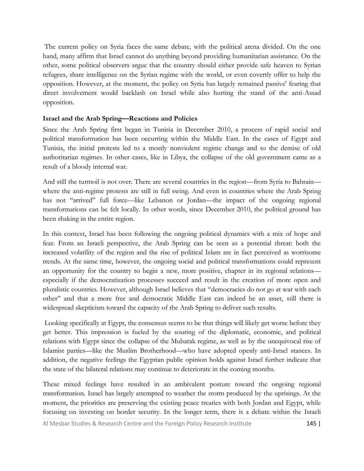The current policy on Syria faces the same debate, with the political arena divided. On the one hand, many affirm that Israel cannot do anything beyond providing humanitarian assistance. On the other, some political observers argue that the country should either provide safe heaven to Syrian refugees, share intelligence on the Syrian regime with the world, or even covertly offer to help the opposition. However, at the moment, the policy on Syria has largely remained passive' fearing that direct involvement would backlash on Israel while also hurting the stand of the anti-Assad opposition.

#### **Israel and the Arab Spring—Reactions and Policies**

Since the Arab Spring first began in Tunisia in December 2010, a process of rapid social and political transformation has been occurring within the Middle East. In the cases of Egypt and Tunisia, the initial protests led to a mostly nonviolent regime change and to the demise of old authoritarian regimes. In other cases, like in Libya, the collapse of the old government came as a result of a bloody internal war.

And still the turmoil is not over. There are several countries in the region—from Syria to Bahrain where the anti-regime protests are still in full swing. And even in countries where the Arab Spring has not "arrived" full force—like Lebanon or Jordan—the impact of the ongoing regional transformations can be felt locally. In other words, since December 2010, the political ground has been shaking in the entire region.

In this context, Israel has been following the ongoing political dynamics with a mix of hope and fear. From an Israeli perspective, the Arab Spring can be seen as a potential threat: both the increased volatility of the region and the rise of political Islam are in fact perceived as worrisome trends. At the same time, however, the ongoing social and political transformations could represent an opportunity for the country to begin a new, more positive, chapter in its regional relations especially if the democratization processes succeed and result in the creation of more open and pluralistic countries. However, although Israel believes that "democracies do not go at war with each other" and that a more free and democratic Middle East can indeed be an asset, still there is widespread skepticism toward the capacity of the Arab Spring to deliver such results.

Looking specifically at Egypt, the consensus seems to be that things will likely get worse before they get better. This impression is fueled by the souring of the diplomatic, economic, and political relations with Egypt since the collapse of the Mubarak regime, as well as by the unequivocal rise of Islamist parties—like the Muslim Brotherhood—who have adopted openly anti-Israel stances. In addition, the negative feelings the Egyptian public opinion holds against Israel further indicate that the state of the bilateral relations may continue to deteriorate in the coming months.

These mixed feelings have resulted in an ambivalent posture toward the ongoing regional transformation. Israel has largely attempted to weather the storm produced by the uprisings. At the moment, the priorities are preserving the existing peace treaties with both Jordan and Egypt, while focusing on investing on border security. In the longer term, there is a debate within the Israeli